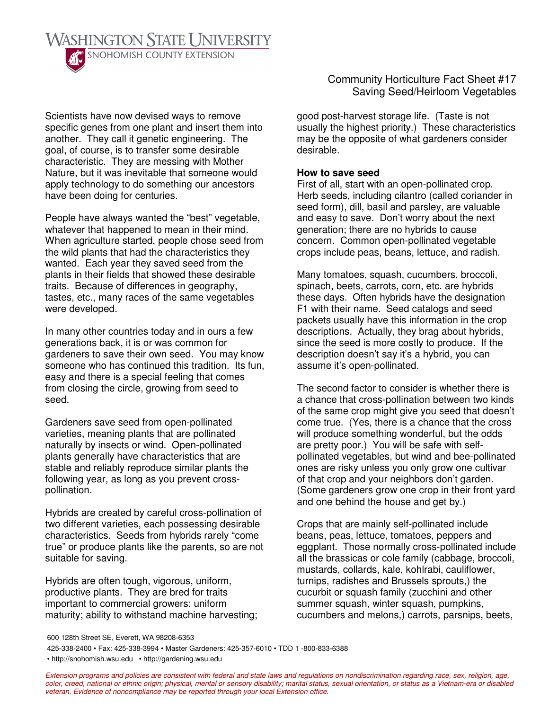

Scientists have now devised ways to remove specific genes from one plant and insert them into another. They call it genetic engineering. The goal, of course, is to transfer some desirable characteristic. They are messing with Mother Nature, but it was inevitable that someone would apply technology to do something our ancestors have been doing for centuries.

People have always wanted the "best" vegetable, whatever that happened to mean in their mind. When agriculture started, people chose seed from the wild plants that had the characteristics they wanted. Each year they saved seed from the plants in their fields that showed these desirable traits. Because of differences in geography, tastes, etc., many races of the same vegetables were developed.

In many other countries today and in ours a few generations back, it is or was common for gardeners to save their own seed. You may know someone who has continued this tradition. Its fun, easy and there is a special feeling that comes from closing the circle, growing from seed to seed.

Gardeners save seed from open-pollinated varieties, meaning plants that are pollinated naturally by insects or wind. Open-pollinated plants generally have characteristics that are stable and reliably reproduce similar plants the following year, as long as you prevent crosspollination.

Hybrids are created by careful cross-pollination of two different varieties, each possessing desirable characteristics. Seeds from hybrids rarely "come true" or produce plants like the parents, so are not suitable for saving.

Hybrids are often tough, vigorous, uniform, productive plants. They are bred for traits important to commercial growers: uniform maturity; ability to withstand machine harvesting; Community Horticulture Fact Sheet #17 Saving Seed/Heirloom Vegetables

good post-harvest storage life. (Taste is not usually the highest priority.) These characteristics may be the opposite of what gardeners consider desirable.

## **How to save seed**

First of all, start with an open-pollinated crop. Herb seeds, including cilantro (called coriander in seed form), dill, basil and parsley, are valuable and easy to save. Don't worry about the next generation; there are no hybrids to cause concern. Common open-pollinated vegetable crops include peas, beans, lettuce, and radish.

Many tomatoes, squash, cucumbers, broccoli, spinach, beets, carrots, corn, etc. are hybrids these days. Often hybrids have the designation F1 with their name. Seed catalogs and seed packets usually have this information in the crop descriptions. Actually, they brag about hybrids, since the seed is more costly to produce. If the description doesn't say it's a hybrid, you can assume it's open-pollinated.

The second factor to consider is whether there is a chance that cross-pollination between two kinds of the same crop might give you seed that doesn't come true. (Yes, there is a chance that the cross will produce something wonderful, but the odds are pretty poor.) You will be safe with selfpollinated vegetables, but wind and bee-pollinated ones are risky unless you only grow one cultivar of that crop and your neighbors don't garden. (Some gardeners grow one crop in their front yard and one behind the house and get by.)

Crops that are mainly self-pollinated include beans, peas, lettuce, tomatoes, peppers and eggplant. Those normally cross-pollinated include all the brassicas or cole family (cabbage, broccoli, mustards, collards, kale, kohlrabi, cauliflower, turnips, radishes and Brussels sprouts,) the cucurbit or squash family (zucchini and other summer squash, winter squash, pumpkins, cucumbers and melons,) carrots, parsnips, beets,

425-338-2400 • Fax: 425-338-3994 • Master Gardeners: 425-357-6010 • TDD 1 -800-833-6388

• http://snohomish.wsu.edu • http://gardening.wsu.edu

Extension programs and policies are consistent with federal and state laws and regulations on nondiscrimination regarding race, sex, religion, age, color, creed, national or ethnic origin; physical, mental or sensory disability; marital status, sexual orientation, or status as a Vietnam-era or disabled *veteran. Evidence of noncompliance may be reported through your local Extension office.*

<sup>600</sup> 128th Street SE, Everett, WA 98208-6353